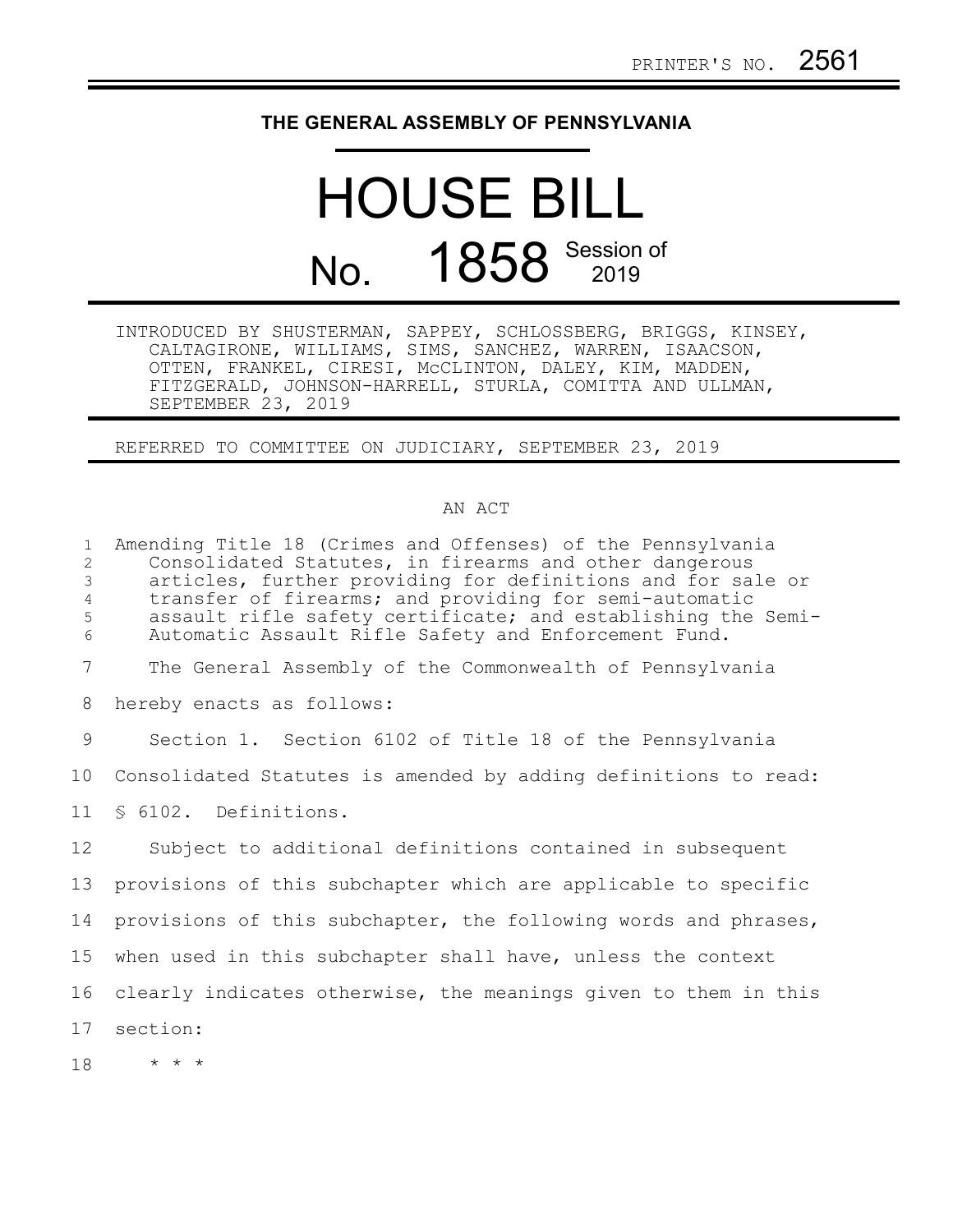## **THE GENERAL ASSEMBLY OF PENNSYLVANIA**

## HOUSE BILL No. 1858 Session of

INTRODUCED BY SHUSTERMAN, SAPPEY, SCHLOSSBERG, BRIGGS, KINSEY, CALTAGIRONE, WILLIAMS, SIMS, SANCHEZ, WARREN, ISAACSON, OTTEN, FRANKEL, CIRESI, McCLINTON, DALEY, KIM, MADDEN, FITZGERALD, JOHNSON-HARRELL, STURLA, COMITTA AND ULLMAN, SEPTEMBER 23, 2019

REFERRED TO COMMITTEE ON JUDICIARY, SEPTEMBER 23, 2019

## AN ACT

Amending Title 18 (Crimes and Offenses) of the Pennsylvania Consolidated Statutes, in firearms and other dangerous articles, further providing for definitions and for sale or transfer of firearms; and providing for semi-automatic assault rifle safety certificate; and establishing the Semi-Automatic Assault Rifle Safety and Enforcement Fund. The General Assembly of the Commonwealth of Pennsylvania hereby enacts as follows: Section 1. Section 6102 of Title 18 of the Pennsylvania Consolidated Statutes is amended by adding definitions to read: § 6102. Definitions. Subject to additional definitions contained in subsequent provisions of this subchapter which are applicable to specific provisions of this subchapter, the following words and phrases, when used in this subchapter shall have, unless the context clearly indicates otherwise, the meanings given to them in this section: \* \* \* 1 2 3 4 5 6 7 8 9 10 11 12 13 14 15 16 17 18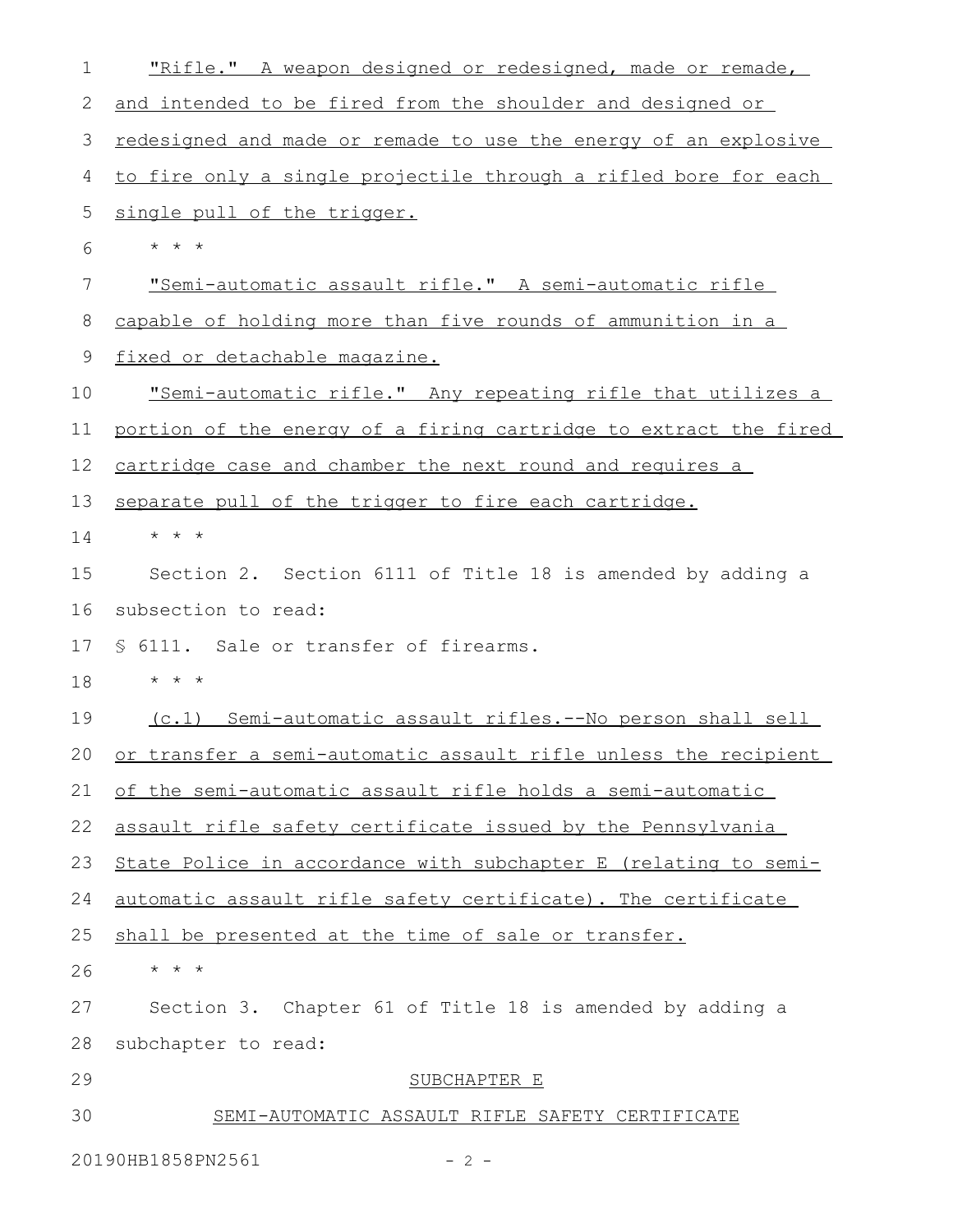| 1  | "Rifle." A weapon designed or redesigned, made or remade,          |
|----|--------------------------------------------------------------------|
| 2  | and intended to be fired from the shoulder and designed or         |
| 3  | redesigned and made or remade to use the energy of an explosive    |
| 4  | to fire only a single projectile through a rifled bore for each    |
| 5  | single pull of the trigger.                                        |
| 6  | $\star$ $\star$ $\star$                                            |
| 7  | "Semi-automatic assault rifle." A semi-automatic rifle             |
| 8  | capable of holding more than five rounds of ammunition in a        |
| 9  | fixed or detachable magazine.                                      |
| 10 | <u>"Semi-automatic rifle." Any repeating rifle that utilizes a</u> |
| 11 | portion of the energy of a firing cartridge to extract the fired   |
| 12 | cartridge case and chamber the next round and requires a           |
| 13 | separate pull of the trigger to fire each cartridge.               |
| 14 | $\star$ $\star$ $\star$                                            |
| 15 | Section 2. Section 6111 of Title 18 is amended by adding a         |
| 16 | subsection to read:                                                |
| 17 | § 6111. Sale or transfer of firearms.                              |
| 18 | $\star$ $\star$ $\star$                                            |
| 19 | (c.1) Semi-automatic assault rifles.--No person shall sell         |
| 20 | or transfer a semi-automatic assault rifle unless the recipient    |
| 21 | of the semi-automatic assault rifle holds a semi-automatic         |
| 22 | assault rifle safety certificate issued by the Pennsylvania        |
| 23 | State Police in accordance with subchapter E (relating to semi-    |
| 24 | automatic assault rifle safety certificate). The certificate       |
| 25 | shall be presented at the time of sale or transfer.                |
| 26 | $\star$ $\star$ $\star$                                            |
| 27 | Section 3. Chapter 61 of Title 18 is amended by adding a           |
| 28 | subchapter to read:                                                |
| 29 | SUBCHAPTER E                                                       |
| 30 | SEMI-AUTOMATIC ASSAULT RIFLE SAFETY CERTIFICATE                    |
|    | 20190HB1858PN2561<br>$-2-$                                         |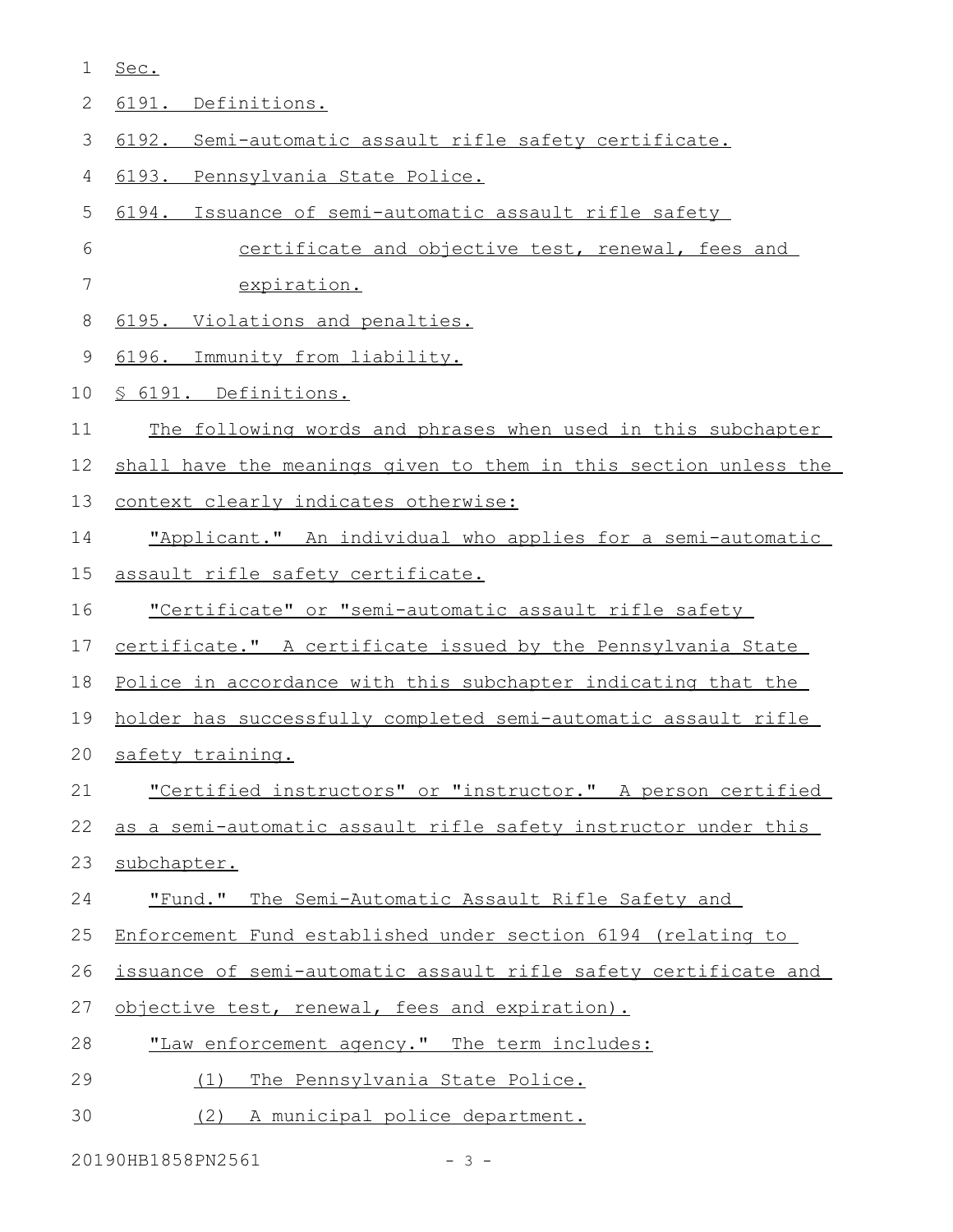Sec. 1

|  | $\sim$ $\sim$ $\sim$ $\sim$ $\sim$ $\sim$<br>Definitions. |
|--|-----------------------------------------------------------|
|  |                                                           |

- 6192. Semi-automatic assault rifle safety certificate. 3
- 6193. Pennsylvania State Police. 4
- 6194. Issuance of semi-automatic assault rifle safety 5
- certificate and objective test, renewal, fees and 6
- expiration. 7
- 6195. Violations and penalties. 8
- 6196. Immunity from liability. 9
- § 6191. Definitions. 10
- The following words and phrases when used in this subchapter 11
- shall have the meanings given to them in this section unless the 12
- context clearly indicates otherwise: 13
- "Applicant." An individual who applies for a semi-automatic 14
- assault rifle safety certificate. 15
- "Certificate" or "semi-automatic assault rifle safety 16
- certificate." A certificate issued by the Pennsylvania State 17
- Police in accordance with this subchapter indicating that the 18
- holder has successfully completed semi-automatic assault rifle 19
- safety training. 20
- "Certified instructors" or "instructor." A person certified 21
- as a semi-automatic assault rifle safety instructor under this 22
- subchapter. 23
- "Fund." The Semi-Automatic Assault Rifle Safety and 24
- Enforcement Fund established under section 6194 (relating to 25
- issuance of semi-automatic assault rifle safety certificate and 26
- objective test, renewal, fees and expiration). 27
- "Law enforcement agency." The term includes: 28
- (1) The Pennsylvania State Police. 29
- (2) A municipal police department. 30

20190HB1858PN2561 - 3 -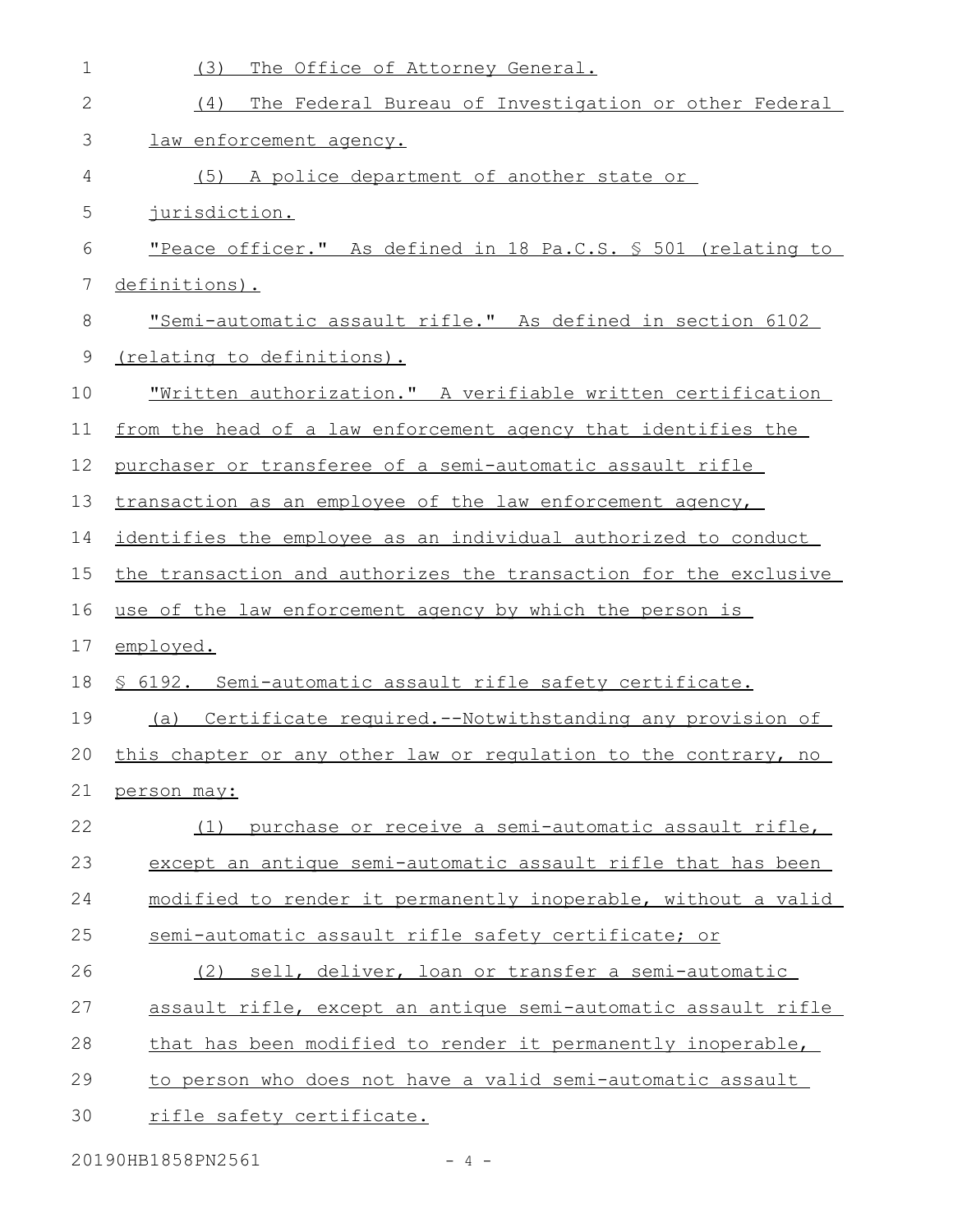| 1  | (3)<br>The Office of Attorney General.                              |
|----|---------------------------------------------------------------------|
| 2  | The Federal Bureau of Investigation or other Federal<br>(4)         |
| 3  | law enforcement agency.                                             |
| 4  | (5) A police department of another state or                         |
| 5  | <u>jurisdiction.</u>                                                |
| 6  | "Peace officer." As defined in 18 Pa.C.S. § 501 (relating to        |
| 7  | definitions).                                                       |
| 8  | "Semi-automatic assault rifle." As defined in section 6102          |
| 9  | (relating to definitions).                                          |
| 10 | <u> "Written authorization." A verifiable written certification</u> |
| 11 | from the head of a law enforcement agency that identifies the       |
| 12 | purchaser or transferee of a semi-automatic assault rifle           |
| 13 | transaction as an employee of the law enforcement agency,           |
| 14 | identifies the employee as an individual authorized to conduct      |
| 15 | the transaction and authorizes the transaction for the exclusive    |
| 16 | use of the law enforcement agency by which the person is            |
| 17 | employed.                                                           |
| 18 | \$ 6192. Semi-automatic assault rifle safety certificate.           |
| 19 | (a) Certificate required.--Notwithstanding any provision of         |
| 20 | this chapter or any other law or regulation to the contrary, no     |
| 21 | person may:                                                         |
| 22 | (1) purchase or receive a semi-automatic assault rifle,             |
| 23 | except an antique semi-automatic assault rifle that has been        |
| 24 | modified to render it permanently inoperable, without a valid       |
| 25 | semi-automatic assault rifle safety certificate; or                 |
| 26 | sell, deliver, loan or transfer a semi-automatic<br>(2)             |
| 27 | assault rifle, except an antique semi-automatic assault rifle       |
| 28 | that has been modified to render it permanently inoperable,         |
| 29 | to person who does not have a valid semi-automatic assault          |
| 30 | rifle safety certificate.                                           |
|    |                                                                     |

20190HB1858PN2561 - 4 -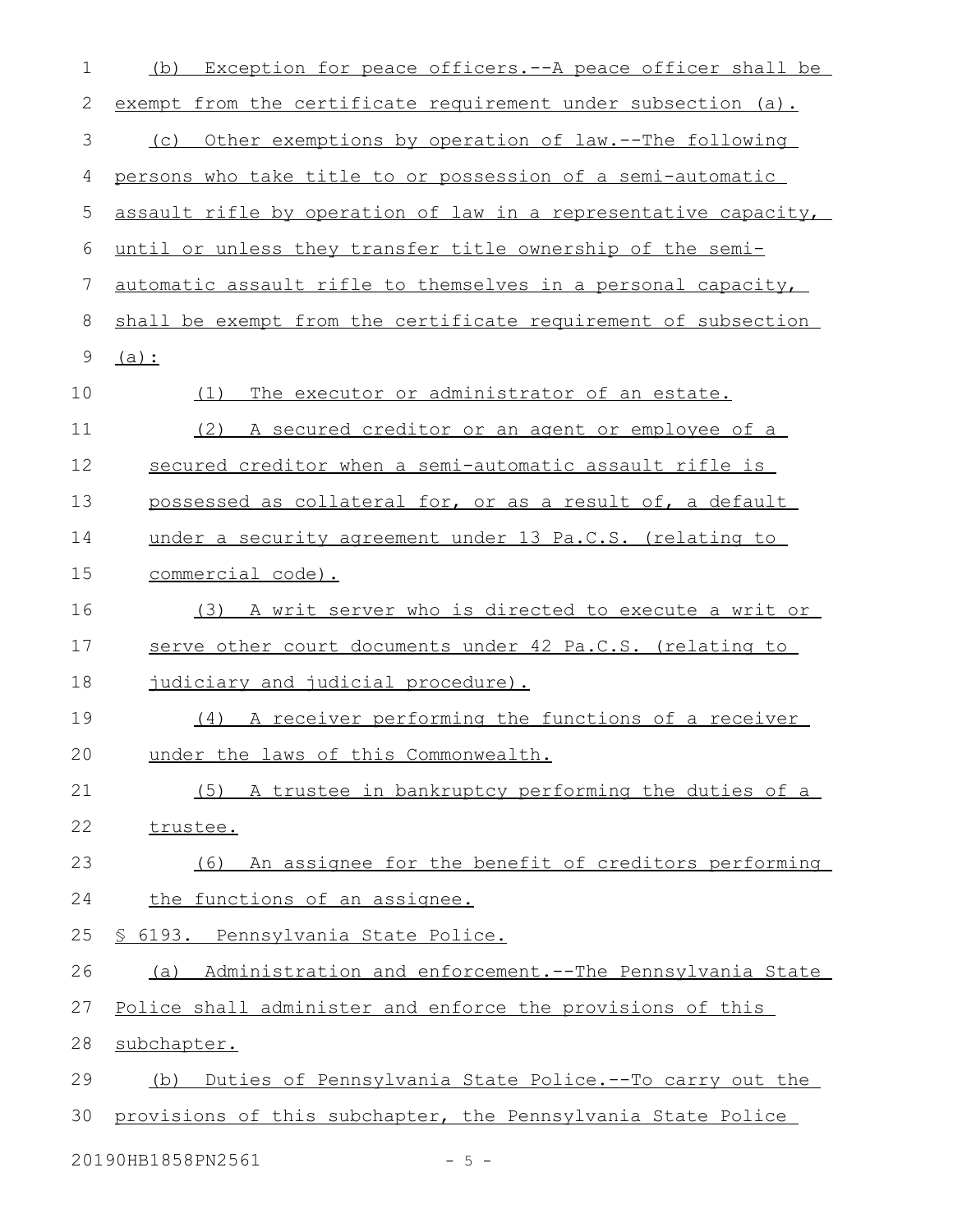| 1  | Exception for peace officers.--A peace officer shall be<br>(b)        |
|----|-----------------------------------------------------------------------|
| 2  | exempt from the certificate requirement under subsection (a).         |
| 3  | Other exemptions by operation of law.--The following<br>(C)           |
| 4  | persons who take title to or possession of a semi-automatic           |
| 5  | assault rifle by operation of law in a representative capacity,       |
| 6  | until or unless they transfer title ownership of the semi-            |
| 7  | automatic assault rifle to themselves in a personal capacity,         |
| 8  | shall be exempt from the certificate requirement of subsection        |
| 9  | $(a)$ :                                                               |
| 10 | The executor or administrator of an estate.<br>(1)                    |
| 11 | (2) A secured creditor or an agent or employee of a                   |
| 12 | secured creditor when a semi-automatic assault rifle is               |
| 13 | possessed as collateral for, or as a result of, a default             |
| 14 | under a security agreement under 13 Pa.C.S. (relating to              |
| 15 | commercial code).                                                     |
| 16 | (3) A writ server who is directed to execute a writ or                |
| 17 | serve other court documents under 42 Pa.C.S. (relating to             |
| 18 | judiciary and judicial procedure).                                    |
| 19 | (4) A receiver performing the functions of a receiver                 |
| 20 | under the laws of this Commonwealth.                                  |
| 21 | (5) A trustee in bankruptcy performing the duties of a                |
| 22 | trustee.                                                              |
| 23 | An assignee for the benefit of creditors performing<br>(6)            |
| 24 | the functions of an assignee.                                         |
| 25 | <u>S 6193. Pennsylvania State Police.</u>                             |
| 26 | <u>Administration and enforcement.--The Pennsylvania State</u><br>(a) |
| 27 | Police shall administer and enforce the provisions of this            |
| 28 | subchapter.                                                           |
| 29 | Duties of Pennsylvania State Police.--To carry out the<br>(b)         |
| 30 | provisions of this subchapter, the Pennsylvania State Police          |
|    | 20190HB1858PN2561<br>$-5 -$                                           |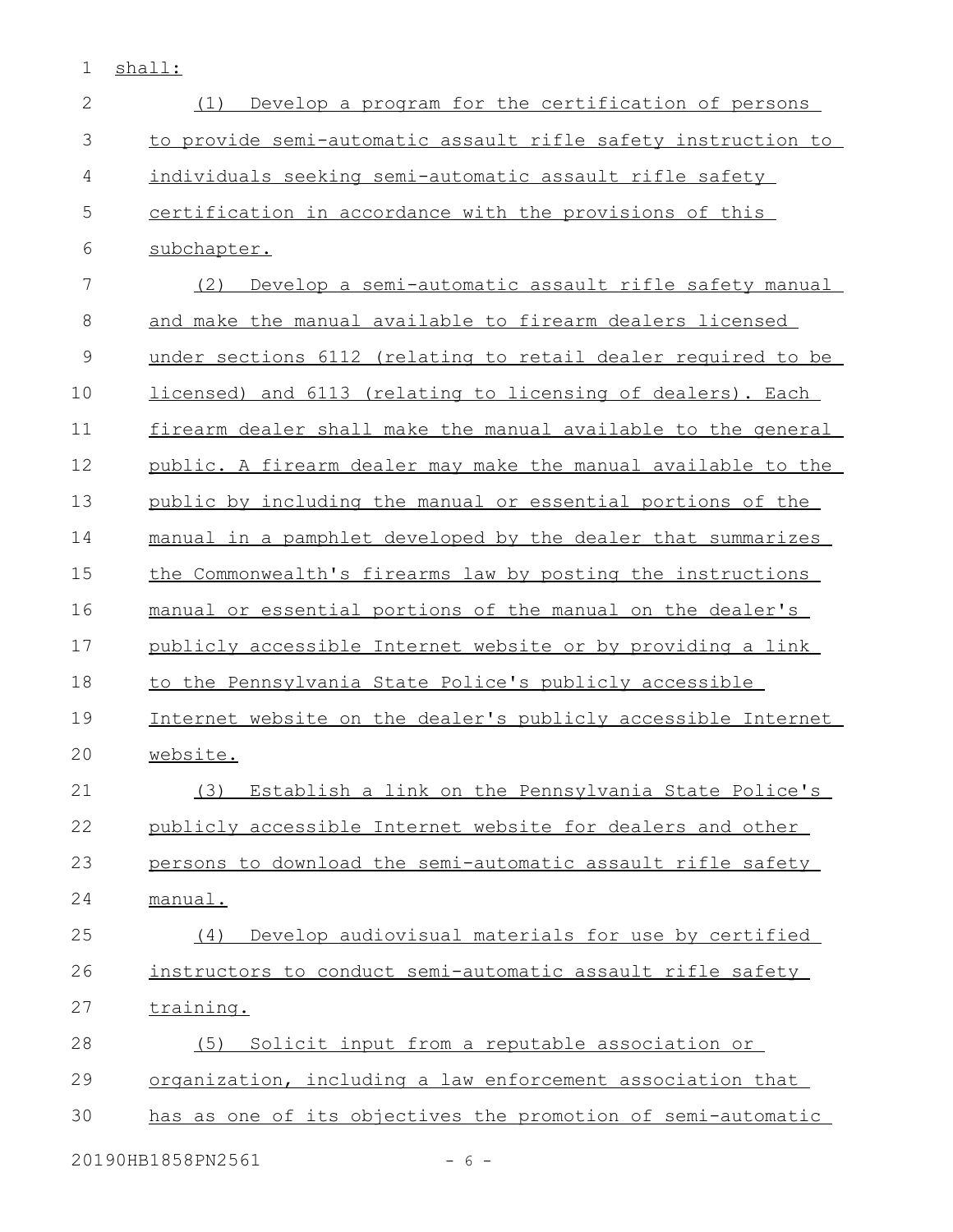1 shall:

| $\mathbf{2}$  | Develop a program for the certification of persons<br>(1)     |
|---------------|---------------------------------------------------------------|
| 3             | to provide semi-automatic assault rifle safety instruction to |
| 4             | individuals seeking semi-automatic assault rifle safety       |
| 5             | certification in accordance with the provisions of this       |
| 6             | subchapter.                                                   |
| 7             | (2)<br>Develop a semi-automatic assault rifle safety manual   |
| 8             | and make the manual available to firearm dealers licensed     |
| $\mathcal{G}$ | under sections 6112 (relating to retail dealer required to be |
| 10            | licensed) and 6113 (relating to licensing of dealers). Each   |
| 11            | firearm dealer shall make the manual available to the general |
| 12            | public. A firearm dealer may make the manual available to the |
| 13            | public by including the manual or essential portions of the   |
| 14            | manual in a pamphlet developed by the dealer that summarizes  |
| 15            | the Commonwealth's firearms law by posting the instructions   |
| 16            | manual or essential portions of the manual on the dealer's    |
| 17            | publicly accessible Internet website or by providing a link   |
| 18            | to the Pennsylvania State Police's publicly accessible        |
| 19            | Internet website on the dealer's publicly accessible Internet |
| 20            | website.                                                      |
| 21            | (3) Establish a link on the Pennsylvania State Police's       |
| 22            | publicly accessible Internet website for dealers and other    |
| 23            | persons to download the semi-automatic assault rifle safety   |
| 24            | manual.                                                       |
| 25            | Develop audiovisual materials for use by certified<br>(4)     |
| 26            | instructors to conduct semi-automatic assault rifle safety    |
| 27            | training.                                                     |
| 28            | (5) Solicit input from a reputable association or             |
| 29            | organization, including a law enforcement association that    |
| 30            | has as one of its objectives the promotion of semi-automatic  |
|               | 20190HB1858PN2561<br>$-6-$                                    |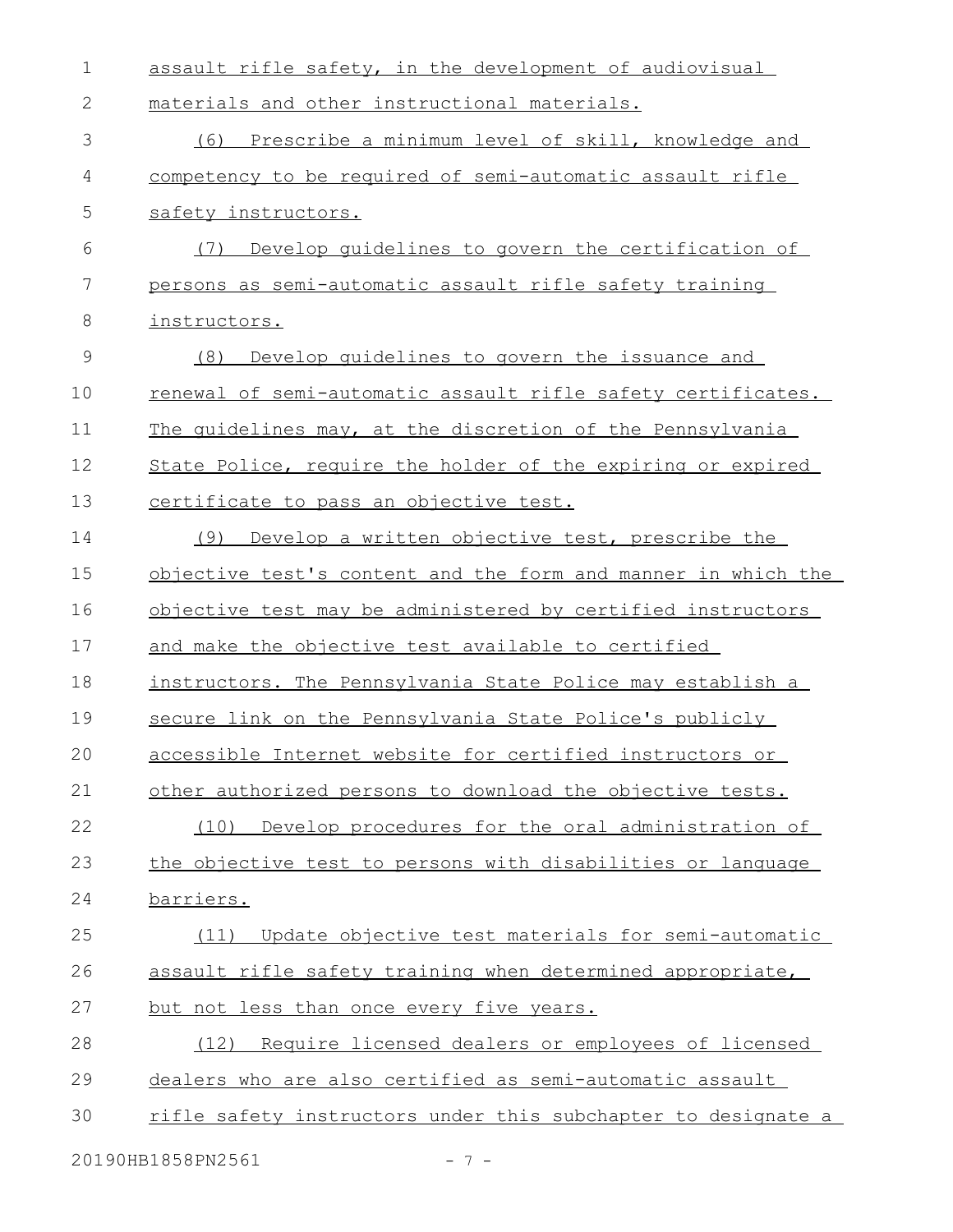| 1             | assault rifle safety, in the development of audiovisual       |
|---------------|---------------------------------------------------------------|
| 2             | materials and other instructional materials.                  |
| 3             | (6) Prescribe a minimum level of skill, knowledge and         |
| 4             | competency to be required of semi-automatic assault rifle     |
| 5             | safety instructors.                                           |
| 6             | Develop quidelines to govern the certification of<br>(7)      |
| 7             | persons as semi-automatic assault rifle safety training       |
| 8             | instructors.                                                  |
| $\mathcal{G}$ | Develop quidelines to govern the issuance and<br>(8)          |
| 10            | renewal of semi-automatic assault rifle safety certificates.  |
| 11            | The quidelines may, at the discretion of the Pennsylvania     |
| 12            | State Police, require the holder of the expiring or expired   |
| 13            | certificate to pass an objective test.                        |
| 14            | Develop a written objective test, prescribe the<br>(9)        |
| 15            | objective test's content and the form and manner in which the |
| 16            | objective test may be administered by certified instructors   |
| 17            | and make the objective test available to certified            |
| 18            | instructors. The Pennsylvania State Police may establish a    |
| 19            | secure link on the Pennsylvania State Police's publicly       |
| 20            | accessible Internet website for certified instructors or      |
| 21            | other authorized persons to download the objective tests.     |
| 22            | (10) Develop procedures for the oral administration of        |
| 23            | the objective test to persons with disabilities or language   |
| 24            | barriers.                                                     |
| 25            | Update objective test materials for semi-automatic<br>(11)    |
| 26            | assault rifle safety training when determined appropriate,    |
| 27            | but not less than once every five years.                      |
| 28            | Require licensed dealers or employees of licensed<br>(12)     |
| 29            | dealers who are also certified as semi-automatic assault      |
| 30            | rifle safety instructors under this subchapter to designate a |
|               | 20190HB1858PN2561<br>- 7 -                                    |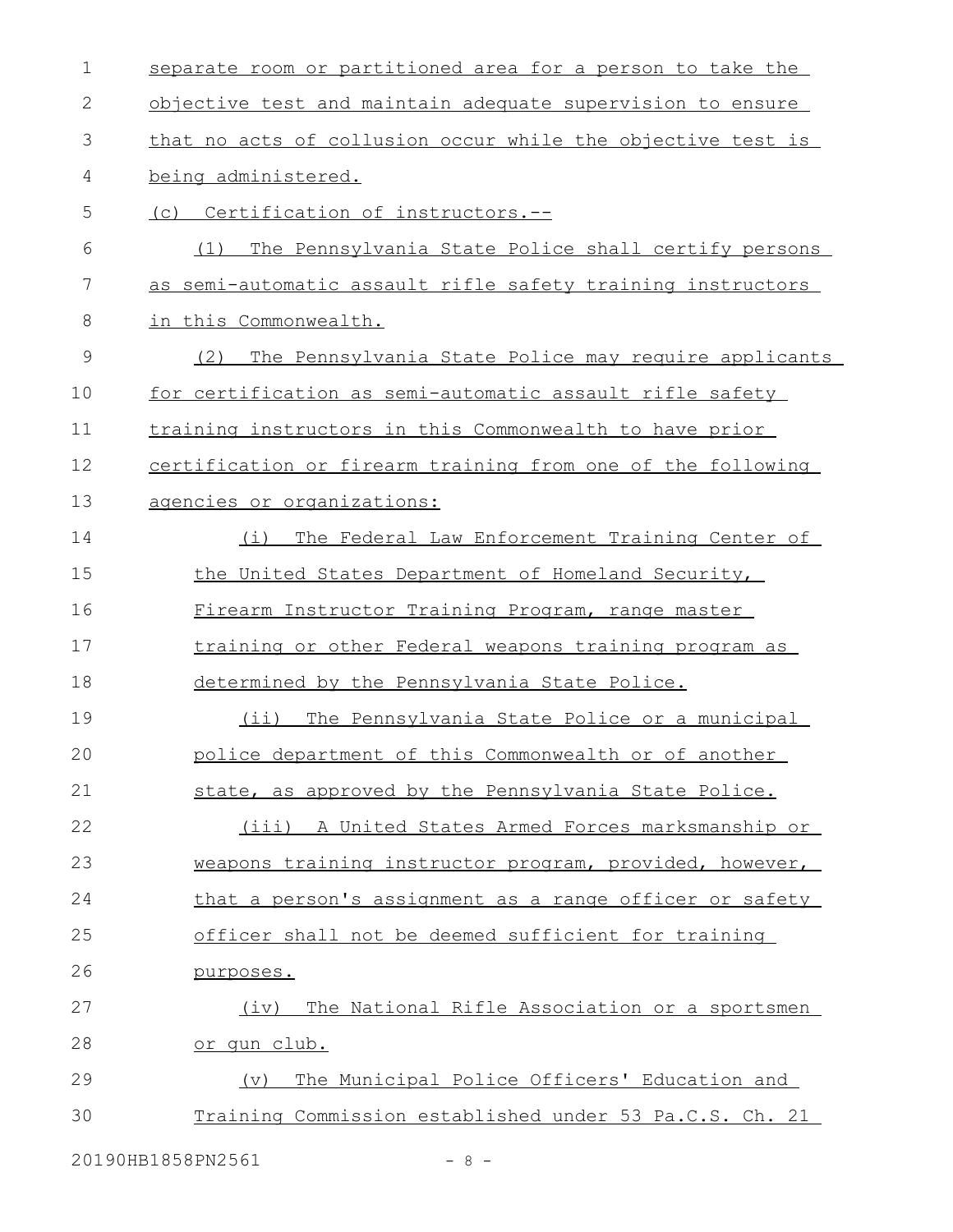| 1             | separate room or partitioned area for a person to take the  |
|---------------|-------------------------------------------------------------|
| 2             | objective test and maintain adequate supervision to ensure  |
| 3             | that no acts of collusion occur while the objective test is |
| 4             | being administered.                                         |
| 5             | (c) Certification of instructors.--                         |
| 6             | The Pennsylvania State Police shall certify persons<br>(1)  |
| 7             | as semi-automatic assault rifle safety training instructors |
| 8             | in this Commonwealth.                                       |
| $\mathcal{G}$ | (2)<br>The Pennsylvania State Police may require applicants |
| 10            | for certification as semi-automatic assault rifle safety    |
| 11            | training instructors in this Commonwealth to have prior     |
| 12            | certification or firearm training from one of the following |
| 13            | agencies or organizations:                                  |
| 14            | (i) The Federal Law Enforcement Training Center of          |
| 15            | the United States Department of Homeland Security,          |
| 16            | Firearm Instructor Training Program, range master           |
| 17            | training or other Federal weapons training program as       |
| 18            | determined by the Pennsylvania State Police.                |
| 19            | (ii) The Pennsylvania State Police or a municipal           |
| 20            | police department of this Commonwealth or of another        |
| 21            | state, as approved by the Pennsylvania State Police.        |
| 22            | (iii) A United States Armed Forces marksmanship or          |
| 23            | weapons training instructor program, provided, however,     |
| 24            | that a person's assignment as a range officer or safety     |
| 25            | officer shall not be deemed sufficient for training         |
| 26            | purposes.                                                   |
| 27            | (iv) The National Rifle Association or a sportsmen          |
| 28            | <u>or qun club.</u>                                         |
| 29            | The Municipal Police Officers' Education and<br>(v)         |
| 30            | Training Commission established under 53 Pa.C.S. Ch. 21     |
|               |                                                             |

20190HB1858PN2561 - 8 -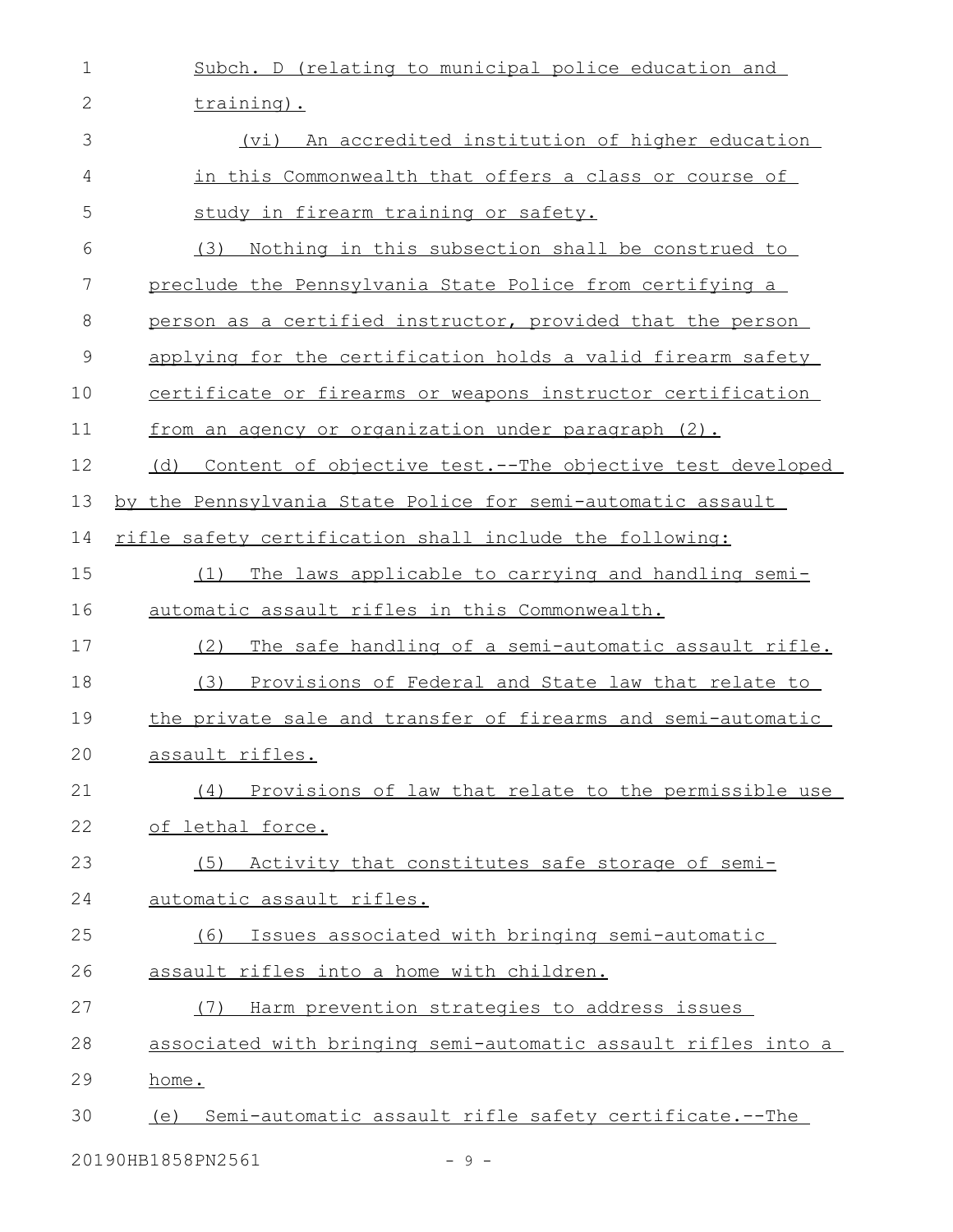| 1            | Subch. D (relating to municipal police education and            |
|--------------|-----------------------------------------------------------------|
| $\mathbf{2}$ | training).                                                      |
| 3            | (vi) An accredited institution of higher education              |
| 4            | in this Commonwealth that offers a class or course of           |
| 5            | study in firearm training or safety.                            |
| 6            | (3)<br>Nothing in this subsection shall be construed to         |
| 7            | preclude the Pennsylvania State Police from certifying a        |
| 8            | person as a certified instructor, provided that the person      |
| $\mathsf 9$  | applying for the certification holds a valid firearm safety     |
| 10           | certificate or firearms or weapons instructor certification     |
| 11           | from an agency or organization under paragraph (2).             |
| 12           | Content of objective test.--The objective test developed<br>(d) |
| 13           | by the Pennsylvania State Police for semi-automatic assault     |
| 14           | rifle safety certification shall include the following:         |
| 15           | The laws applicable to carrying and handling semi-<br>(1)       |
| 16           | automatic assault rifles in this Commonwealth.                  |
| 17           | (2)<br>The safe handling of a semi-automatic assault rifle.     |
| 18           | (3)<br>Provisions of Federal and State law that relate to       |
| 19           | the private sale and transfer of firearms and semi-automatic    |
| 20           | assault rifles.                                                 |
| 21           | (4) Provisions of law that relate to the permissible use        |
| 22           | of lethal force.                                                |
| 23           | (5) Activity that constitutes safe storage of semi-             |
| 24           | automatic assault rifles.                                       |
| 25           | Issues associated with bringing semi-automatic<br>(6)           |
| 26           | assault rifles into a home with children.                       |
| 27           | Harm prevention strategies to address issues<br>(7)             |
| 28           | associated with bringing semi-automatic assault rifles into a   |
| 29           | home.                                                           |
| 30           | (e) Semi-automatic assault rifle safety certificate.--The       |
|              | 20190HB1858PN2561<br>$-9 -$                                     |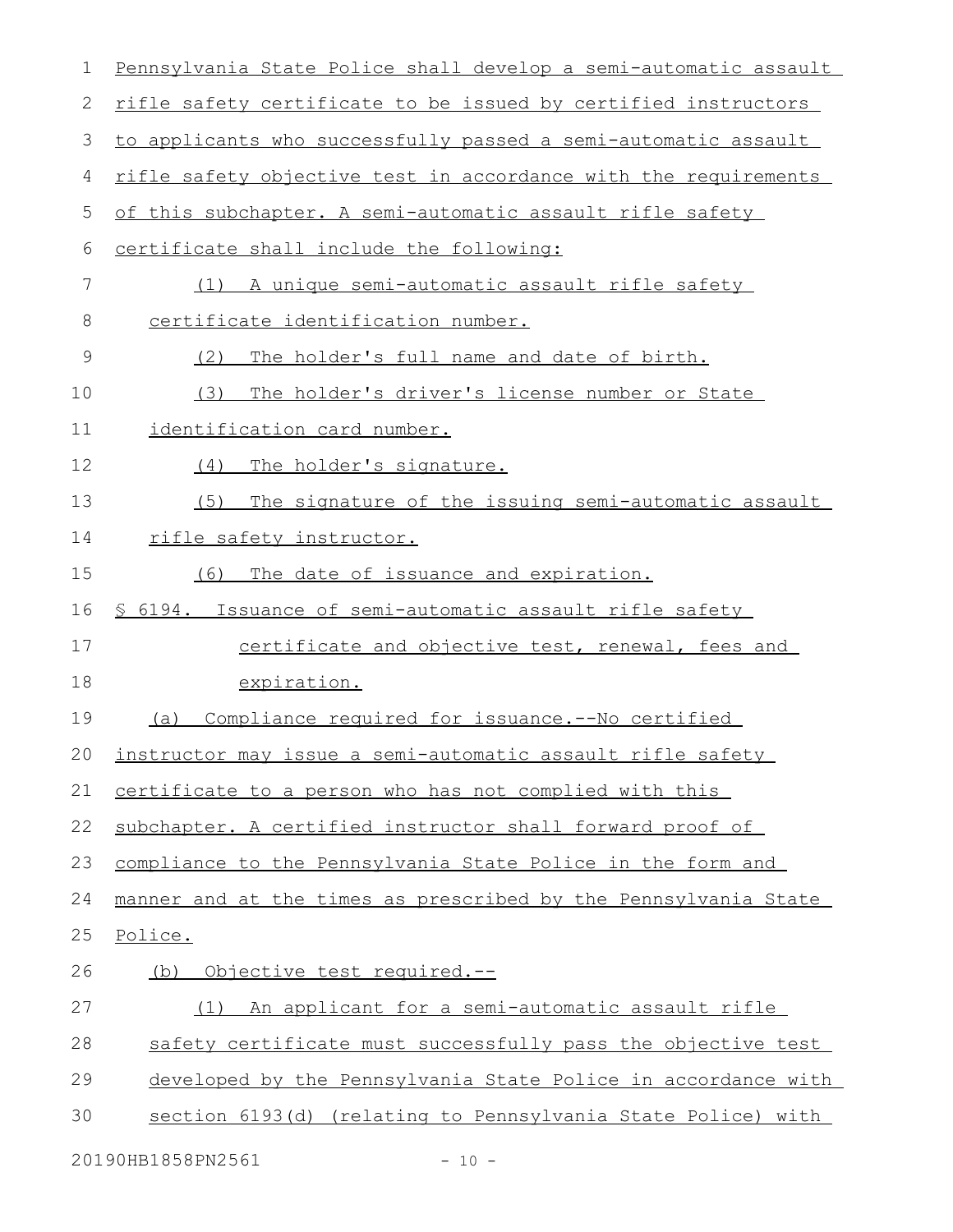| $\mathbf 1$ | Pennsylvania State Police shall develop a semi-automatic assault |
|-------------|------------------------------------------------------------------|
| 2           | rifle safety certificate to be issued by certified instructors   |
| 3           | to applicants who successfully passed a semi-automatic assault   |
| 4           | rifle safety objective test in accordance with the requirements  |
| 5           | of this subchapter. A semi-automatic assault rifle safety        |
| 6           | certificate shall include the following:                         |
| 7           | A unique semi-automatic assault rifle safety<br>(1)              |
| 8           | certificate identification number.                               |
| 9           | (2)<br>The holder's full name and date of birth.                 |
| 10          | The holder's driver's license number or State<br>(3)             |
| 11          | identification card number.                                      |
| 12          | The holder's signature.<br>(4)                                   |
| 13          | The signature of the issuing semi-automatic assault<br>(5)       |
| 14          | <u>rifle safety instructor.</u>                                  |
| 15          | The date of issuance and expiration.<br>(6)                      |
| 16          | \$ 6194. Issuance of semi-automatic assault rifle safety         |
| 17          | certificate and objective test, renewal, fees and                |
| 18          | expiration.                                                      |
| 19          | Compliance required for issuance. -- No certified<br>(a)         |
| 20          | instructor may issue a semi-automatic assault rifle safety       |
| 21          | certificate to a person who has not complied with this           |
| 22          | subchapter. A certified instructor shall forward proof of        |
| 23          | compliance to the Pennsylvania State Police in the form and      |
| 24          | manner and at the times as prescribed by the Pennsylvania State  |
| 25          | Police.                                                          |
| 26          | <u> Objective test required.--</u><br>(b)                        |
| 27          | An applicant for a semi-automatic assault rifle<br>(1)           |
| 28          | safety certificate must successfully pass the objective test     |
| 29          | developed by the Pennsylvania State Police in accordance with    |
| 30          | section 6193(d) (relating to Pennsylvania State Police) with     |
|             | 20190HB1858PN2561<br>$-10 -$                                     |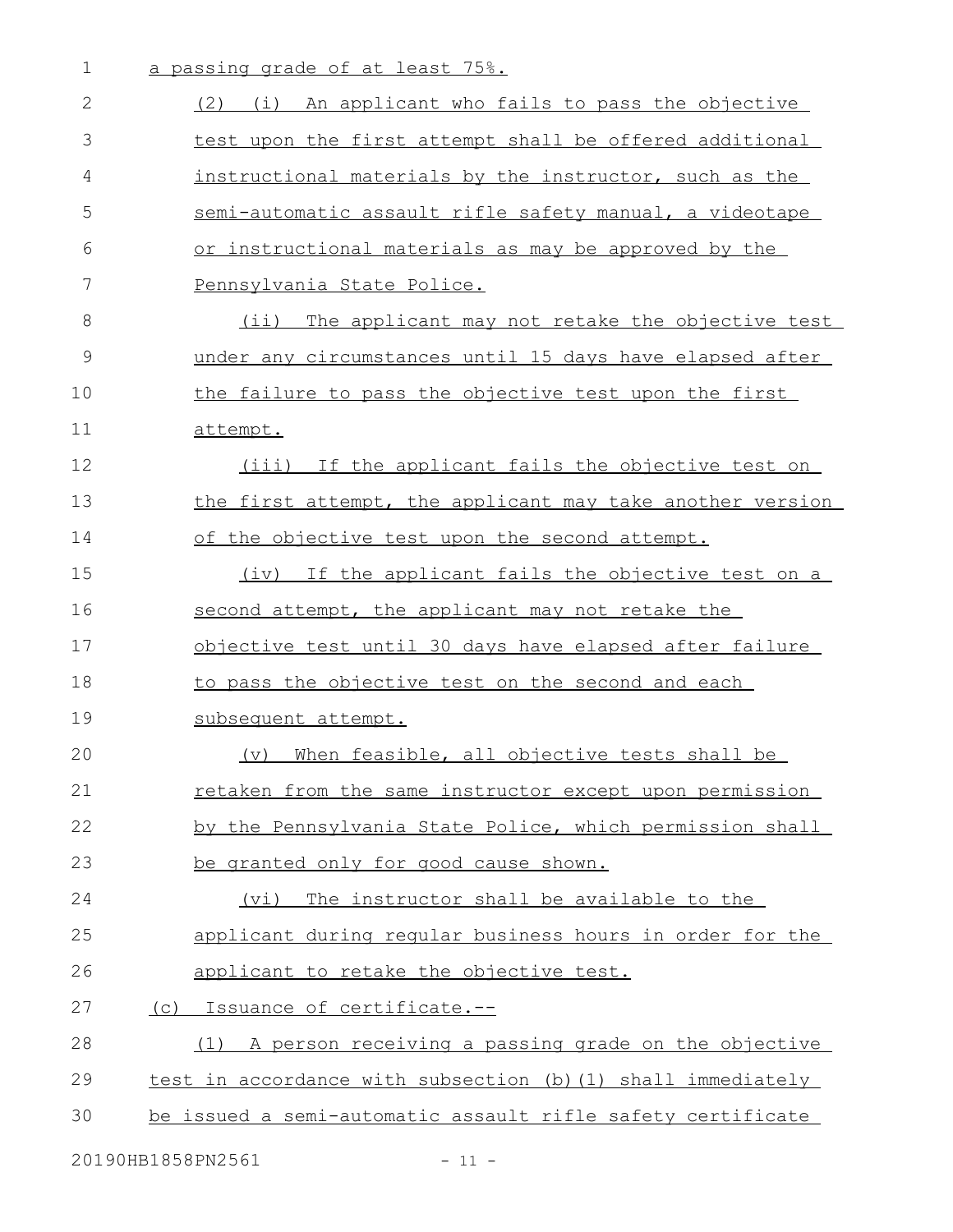| $\mathbf 1$ | a passing grade of at least 75%.                             |
|-------------|--------------------------------------------------------------|
| 2           | (2) (i) An applicant who fails to pass the objective         |
| 3           | test upon the first attempt shall be offered additional      |
| 4           | instructional materials by the instructor, such as the       |
| 5           | semi-automatic assault rifle safety manual, a videotape      |
| 6           | or instructional materials as may be approved by the         |
| 7           | Pennsylvania State Police.                                   |
| 8           | (ii) The applicant may not retake the objective test         |
| 9           | under any circumstances until 15 days have elapsed after     |
| 10          | the failure to pass the objective test upon the first        |
| 11          | attempt.                                                     |
| 12          | (iii) If the applicant fails the objective test on           |
| 13          | the first attempt, the applicant may take another version    |
| 14          | of the objective test upon the second attempt.               |
| 15          | (iv) If the applicant fails the objective test on a          |
| 16          | second attempt, the applicant may not retake the             |
| 17          | objective test until 30 days have elapsed after failure      |
| 18          | to pass the objective test on the second and each            |
| 19          | subsequent attempt.                                          |
| 20          | (v) When feasible, all objective tests shall be              |
| 21          | retaken from the same instructor except upon permission      |
| 22          | by the Pennsylvania State Police, which permission shall     |
| 23          | be granted only for good cause shown.                        |
| 24          | (vi) The instructor shall be available to the                |
| 25          | applicant during regular business hours in order for the     |
| 26          | applicant to retake the objective test.                      |
| 27          | (c) Issuance of certificate.--                               |
| 28          | (1) A person receiving a passing grade on the objective      |
| 29          | test in accordance with subsection (b) (1) shall immediately |
| 30          | be issued a semi-automatic assault rifle safety certificate  |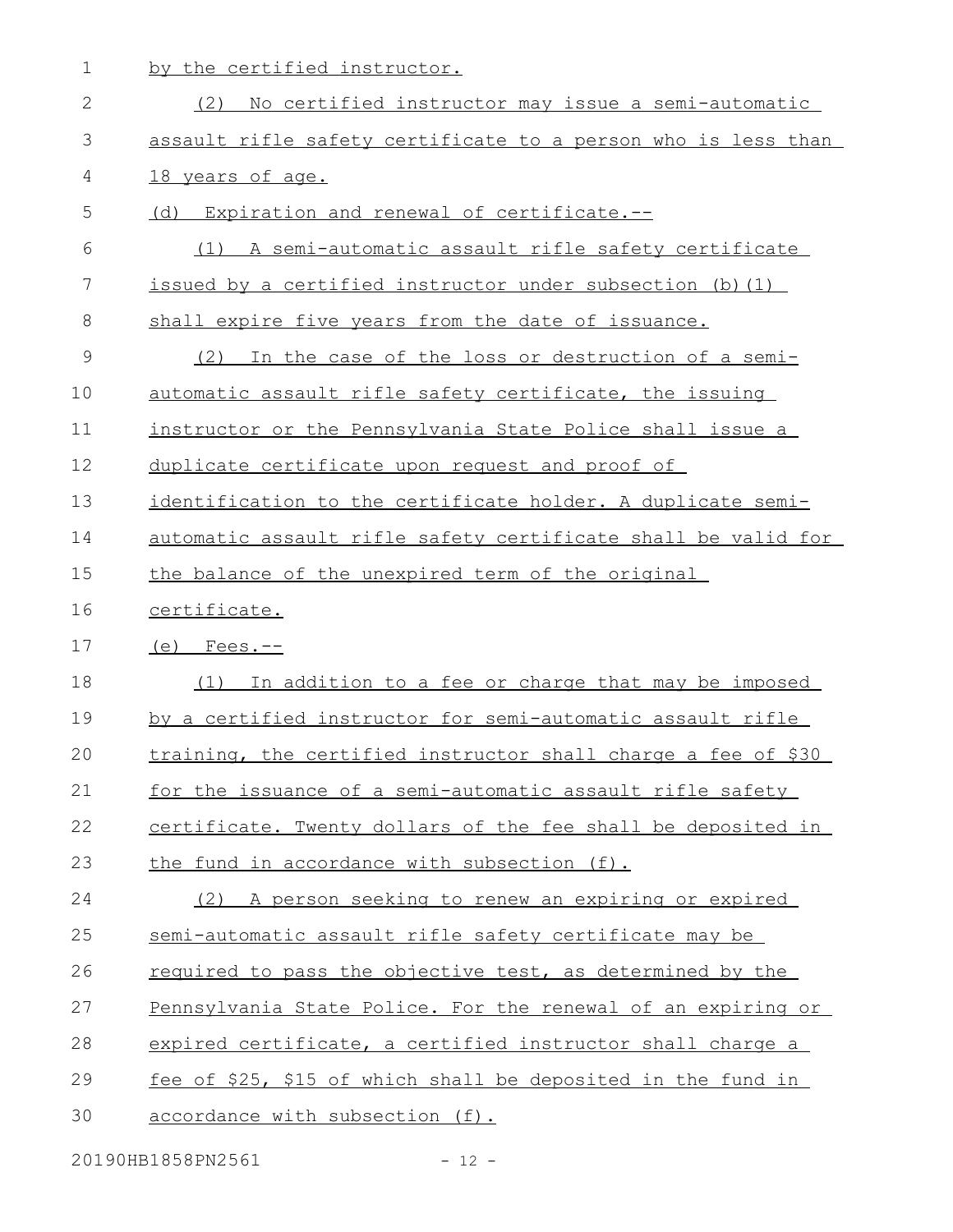1 by the certified instructor.

| (2)<br>No certified instructor may issue a semi-automatic     |
|---------------------------------------------------------------|
| assault rifle safety certificate to a person who is less than |
| 18 years of age.                                              |
| (d) Expiration and renewal of certificate.--                  |
| (1) A semi-automatic assault rifle safety certificate         |
| issued by a certified instructor under subsection (b) (1)     |
| shall expire five years from the date of issuance.            |
| In the case of the loss or destruction of a semi-<br>(2)      |
| automatic assault rifle safety certificate, the issuing       |
| instructor or the Pennsylvania State Police shall issue a     |
| duplicate certificate upon request and proof of               |
| identification to the certificate holder. A duplicate semi-   |
| automatic assault rifle safety certificate shall be valid for |
| the balance of the unexpired term of the original             |
| certificate.                                                  |
| $(e)$ Fees.--                                                 |
| In addition to a fee or charge that may be imposed<br>(1)     |
| by a certified instructor for semi-automatic assault rifle    |
| training, the certified instructor shall charge a fee of \$30 |
| for the issuance of a semi-automatic assault rifle safety     |
| certificate. Twenty dollars of the fee shall be deposited in  |
| the fund in accordance with subsection (f).                   |
| A person seeking to renew an expiring or expired<br>(2)       |
| semi-automatic assault rifle safety certificate may be        |
| required to pass the objective test, as determined by the     |
| Pennsylvania State Police. For the renewal of an expiring or  |
| expired certificate, a certified instructor shall charge a    |
| fee of \$25, \$15 of which shall be deposited in the fund in  |
| accordance with subsection (f).                               |
|                                                               |

20190HB1858PN2561 - 12 -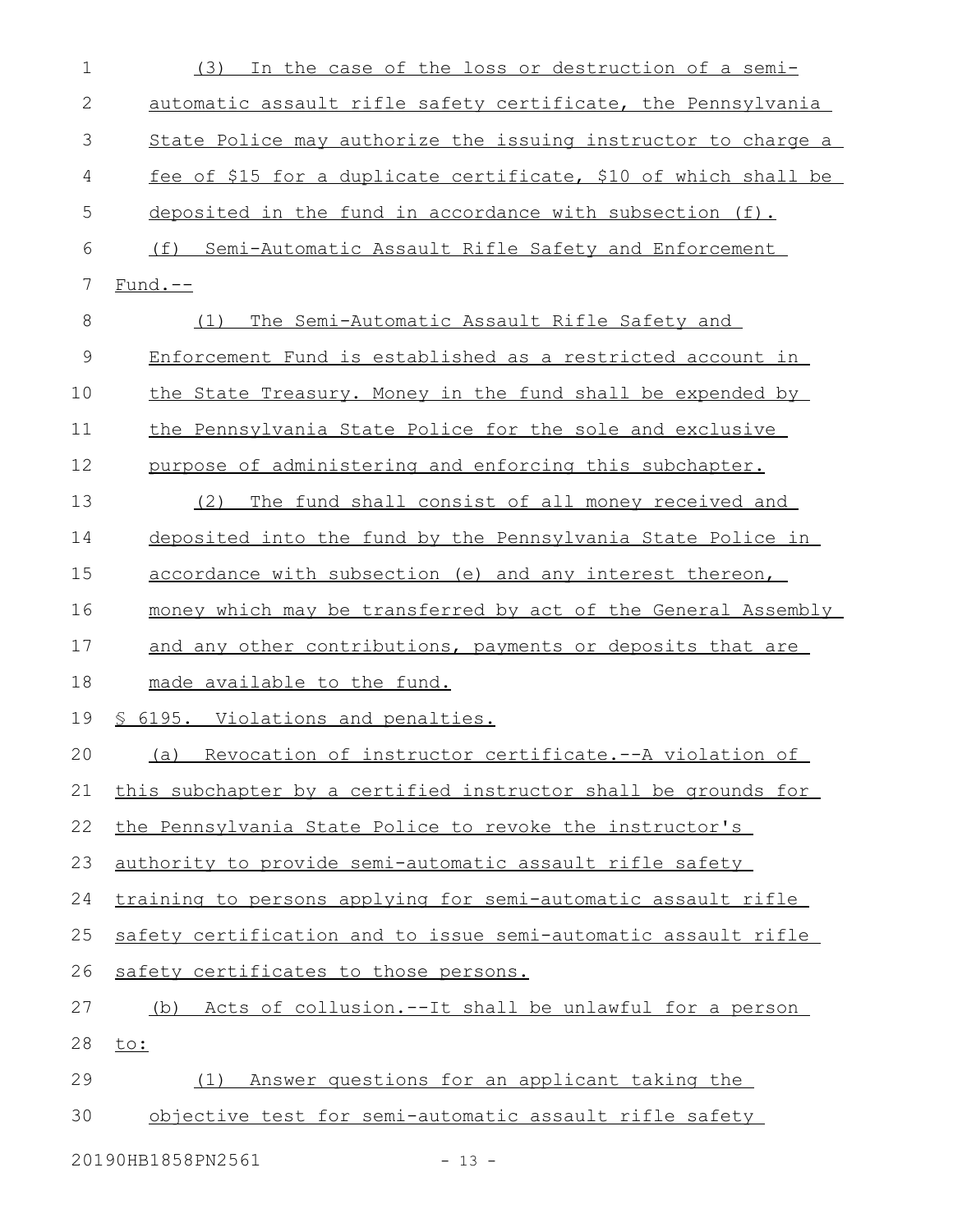| $\mathbf 1$ | In the case of the loss or destruction of a semi-<br>(3)        |
|-------------|-----------------------------------------------------------------|
| 2           | automatic assault rifle safety certificate, the Pennsylvania    |
| 3           | State Police may authorize the issuing instructor to charge a   |
| 4           | fee of \$15 for a duplicate certificate, \$10 of which shall be |
| 5           | deposited in the fund in accordance with subsection (f).        |
| 6           | (f) Semi-Automatic Assault Rifle Safety and Enforcement         |
| 7           | $Fund.-$                                                        |
| 8           | The Semi-Automatic Assault Rifle Safety and<br>(1)              |
| 9           | Enforcement Fund is established as a restricted account in      |
| 10          | the State Treasury. Money in the fund shall be expended by      |
| 11          | the Pennsylvania State Police for the sole and exclusive        |
| 12          | purpose of administering and enforcing this subchapter.         |
| 13          | The fund shall consist of all money received and<br>(2)         |
| 14          | deposited into the fund by the Pennsylvania State Police in     |
| 15          | accordance with subsection (e) and any interest thereon,        |
| 16          | money which may be transferred by act of the General Assembly   |
| 17          | and any other contributions, payments or deposits that are      |
| 18          | made available to the fund.                                     |
| 19          | § 6195. Violations and penalties.                               |
| 20          | (a) Revocation of instructor certificate.--A violation of       |
| 21          | this subchapter by a certified instructor shall be grounds for  |
| 22          | the Pennsylvania State Police to revoke the instructor's        |
| 23          | authority to provide semi-automatic assault rifle safety        |
| 24          | training to persons applying for semi-automatic assault rifle   |
| 25          | safety certification and to issue semi-automatic assault rifle  |
| 26          | safety certificates to those persons.                           |
| 27          | (b) Acts of collusion.--It shall be unlawful for a person       |
| 28          | to:                                                             |
| 29          | Answer questions for an applicant taking the<br>(1)             |
| 30          | objective test for semi-automatic assault rifle safety          |
|             | 20190HB1858PN2561<br>$-13 -$                                    |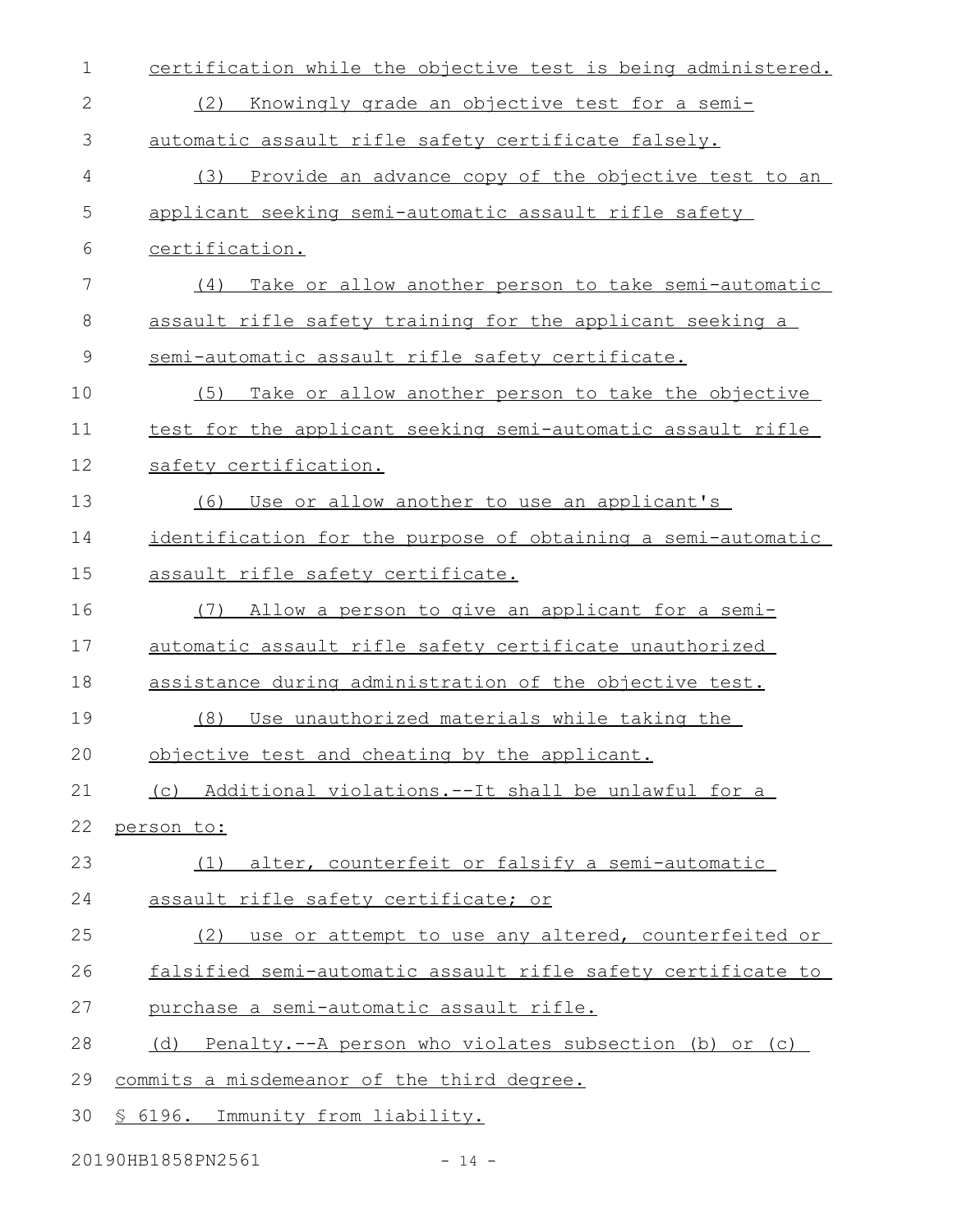| 1            | certification while the objective test is being administered. |
|--------------|---------------------------------------------------------------|
| $\mathbf{2}$ | Knowingly grade an objective test for a semi-<br>(2)          |
| 3            | automatic assault rifle safety certificate falsely.           |
| 4            | (3) Provide an advance copy of the objective test to an       |
| 5            | applicant seeking semi-automatic assault rifle safety         |
| 6            | certification.                                                |
| 7            | Take or allow another person to take semi-automatic<br>(4)    |
| 8            | assault rifle safety training for the applicant seeking a     |
| 9            | semi-automatic assault rifle safety certificate.              |
| 10           | Take or allow another person to take the objective<br>(5)     |
| 11           | test for the applicant seeking semi-automatic assault rifle   |
| 12           | safety certification.                                         |
| 13           | Use or allow another to use an applicant's<br>(6)             |
| 14           | identification for the purpose of obtaining a semi-automatic  |
| 15           | assault rifle safety certificate.                             |
| 16           | Allow a person to give an applicant for a semi-<br>(7)        |
| 17           | automatic assault rifle safety certificate unauthorized       |
| 18           | assistance during administration of the objective test.       |
| 19           | (8)<br>Use unauthorized materials while taking the            |
| 20           | objective test and cheating by the applicant.                 |
| 21           | (c) Additional violations.--It shall be unlawful for a        |
| 22           | person to:                                                    |
| 23           | (1) alter, counterfeit or falsify a semi-automatic            |
| 24           | assault rifle safety certificate; or                          |
| 25           | (2) use or attempt to use any altered, counterfeited or       |
| 26           | falsified semi-automatic assault rifle safety certificate to  |
| 27           | purchase a semi-automatic assault rifle.                      |
| 28           | (d) Penalty.--A person who violates subsection (b) or (c)     |
| 29           | commits a misdemeanor of the third degree.                    |
| 30           | § 6196. Immunity from liability.                              |

20190HB1858PN2561 - 14 -